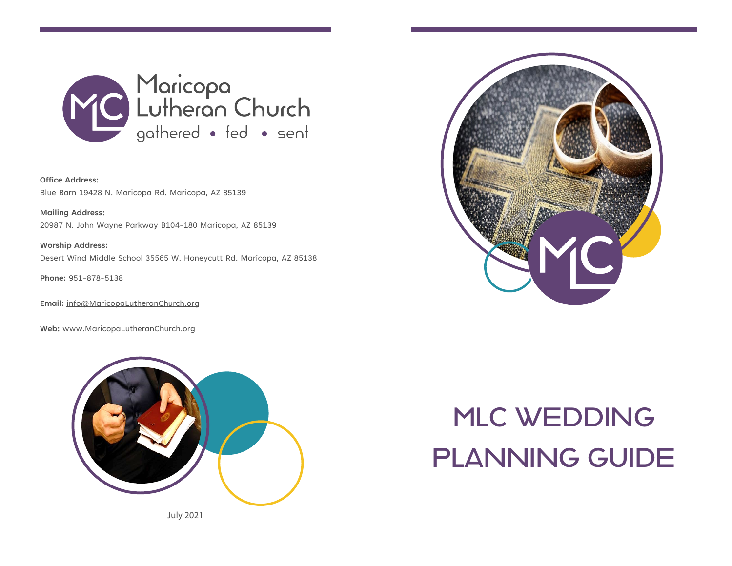

**Office Address:** Blue Barn 19428 N. Maricopa Rd. Maricopa, AZ 85139

**Mailing Address:** 20987 N. John Wayne Parkway B104-180 Maricopa, AZ 85139

**Worship Address:** Desert Wind Middle School 35565 W. Honeycutt Rd. Maricopa, AZ 85138

**Phone:** 951-878-5138

**Email:** [info@MaricopaLutheranChurch.org](mailto:info@MaricopaLutheranChurch.org)

**Web:** [www.MaricopaLutheranChurch.org](http://www.maricopalutheranchurch.org/)



July 2021



# MLC WEDDING PLANNING GUIDE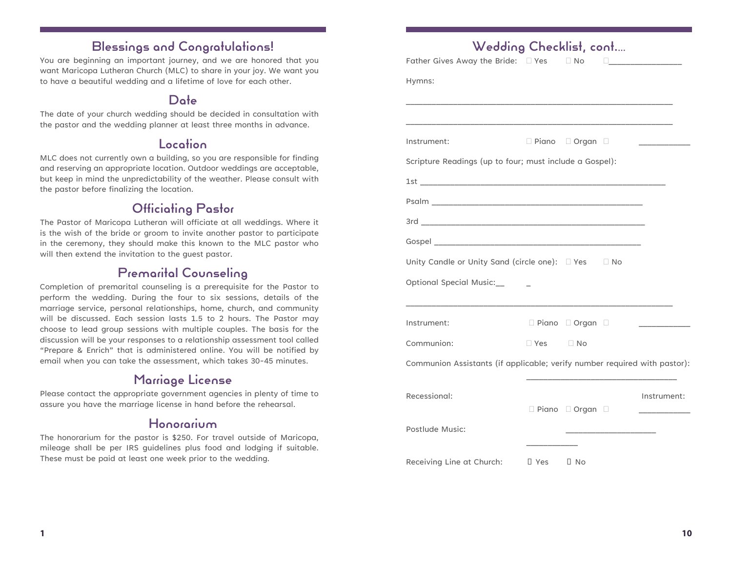# Blessings and Congratulations!

You are beginning an important journey, and we are honored that you want Maricopa Lutheran Church (MLC) to share in your joy. We want you to have a beautiful wedding and a lifetime of love for each other.

### Date

The date of your church wedding should be decided in consultation with the pastor and the wedding planner at least three months in advance.

### Location

MLC does not currently own a building, so you are responsible for finding and reserving an appropriate location. Outdoor weddings are acceptable, but keep in mind the unpredictability of the weather. Please consult with the pastor before finalizing the location.

# Officiating Pastor

The Pastor of Maricopa Lutheran will officiate at all weddings. Where it is the wish of the bride or groom to invite another pastor to participate in the ceremony, they should make this known to the MLC pastor who will then extend the invitation to the guest pastor.

### Premarital Counseling

Completion of premarital counseling is a prerequisite for the Pastor to perform the wedding. During the four to six sessions, details of the marriage service, personal relationships, home, church, and community will be discussed. Each session lasts 1.5 to 2 hours. The Pastor may choose to lead group sessions with multiple couples. The basis for the discussion will be your responses to a relationship assessment tool called "Prepare & Enrich" that is administered online. You will be notified by email when you can take the assessment, which takes 30-45 minutes.

### Marriage License

Please contact the appropriate government agencies in plenty of time to assure you have the marriage license in hand before the rehearsal.

### Honorarium

The honorarium for the pastor is \$250. For travel outside of Maricopa, mileage shall be per IRS guidelines plus food and lodging if suitable. These must be paid at least one week prior to the wedding.

| □ Piano □ Organ □<br>Scripture Readings (up to four; must include a Gospel): |                                                                                         |
|------------------------------------------------------------------------------|-----------------------------------------------------------------------------------------|
|                                                                              |                                                                                         |
|                                                                              |                                                                                         |
|                                                                              |                                                                                         |
|                                                                              |                                                                                         |
|                                                                              |                                                                                         |
|                                                                              |                                                                                         |
|                                                                              |                                                                                         |
|                                                                              |                                                                                         |
|                                                                              |                                                                                         |
|                                                                              |                                                                                         |
|                                                                              |                                                                                         |
|                                                                              |                                                                                         |
|                                                                              |                                                                                         |
|                                                                              | <u>and the state of the state of the state</u>                                          |
| $\Box$ Yes $\Box$ No                                                         |                                                                                         |
|                                                                              |                                                                                         |
|                                                                              |                                                                                         |
|                                                                              | Communion Assistants (if applicable; verify number required with pastor):               |
|                                                                              | Instrument:                                                                             |
| □ Piano □ Organ □                                                            |                                                                                         |
|                                                                              | Unity Candle or Unity Sand (circle one): □ Yes □ No<br>$\Box$ Piano $\Box$ Organ $\Box$ |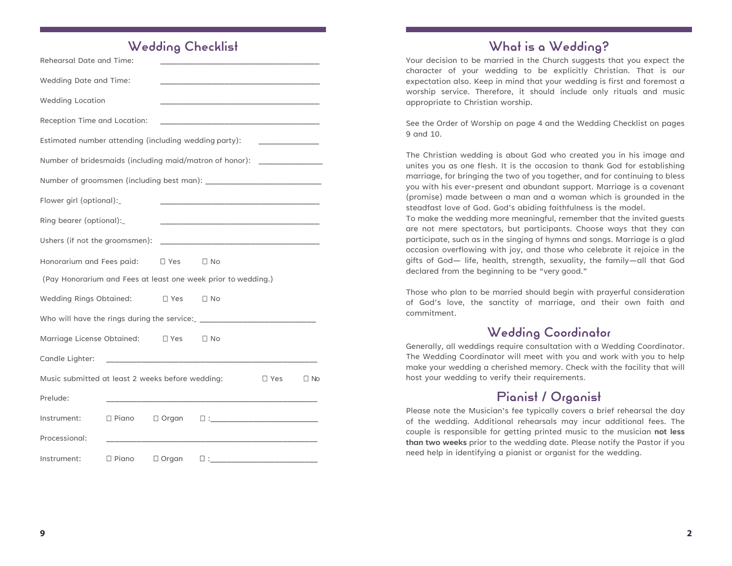### Wedding Checklist

| Rehearsal Date and Time:                                                   |                 |               |                                                                                                                        |               |           |
|----------------------------------------------------------------------------|-----------------|---------------|------------------------------------------------------------------------------------------------------------------------|---------------|-----------|
| Wedding Date and Time:                                                     |                 |               |                                                                                                                        |               |           |
| <b>Wedding Location</b>                                                    |                 |               |                                                                                                                        |               |           |
| Reception Time and Location:                                               |                 |               |                                                                                                                        |               |           |
| Estimated number attending (including wedding party):                      |                 |               |                                                                                                                        |               |           |
| Number of bridesmaids (including maid/matron of honor): __________________ |                 |               |                                                                                                                        |               |           |
|                                                                            |                 |               |                                                                                                                        |               |           |
| Flower girl (optional):                                                    |                 |               |                                                                                                                        |               |           |
| Ring bearer (optional):                                                    |                 |               |                                                                                                                        |               |           |
| Ushers (if not the groomsmen):                                             |                 |               |                                                                                                                        |               |           |
| Honorarium and Fees paid:                                                  |                 | $\square$ Yes | $\Box$ No                                                                                                              |               |           |
| (Pay Honorarium and Fees at least one week prior to wedding.)              |                 |               |                                                                                                                        |               |           |
| Wedding Rings Obtained:                                                    |                 | $\Box$ Yes    | $\square$ No                                                                                                           |               |           |
|                                                                            |                 |               |                                                                                                                        |               |           |
| Marriage License Obtained:                                                 |                 | $\square$ Yes | $\Box$ No                                                                                                              |               |           |
| Candle Lighter:                                                            |                 |               | <u> 1980 - Johann John Harry Harry Harry Harry Harry Harry Harry Harry Harry Harry Harry Harry Harry Harry Harry H</u> |               |           |
| Music submitted at least 2 weeks before wedding:                           |                 |               |                                                                                                                        | $\square$ Yes | $\Box$ No |
| Prelude:                                                                   |                 |               | the control of the control of the control of the control of the control of the control of                              |               |           |
| Instrument:                                                                | $\square$ Piano | $\Box$ Organ  |                                                                                                                        |               |           |
| Processional:                                                              |                 |               |                                                                                                                        |               |           |
| Instrument:                                                                | $\square$ Piano | $\Box$ Organ  |                                                                                                                        |               |           |

# What is a Wedding?

Your decision to be married in the Church suggests that you expect the character of your wedding to be explicitly Christian. That is our expectation also. Keep in mind that your wedding is first and foremost a worship service. Therefore, it should include only rituals and music appropriate to Christian worship.

See the Order of Worship on page 4 and the Wedding Checklist on pages 9 and 10.

The Christian wedding is about God who created you in his image and unites you as one flesh. It is the occasion to thank God for establishing marriage, for bringing the two of you together, and for continuing to bless you with his ever-present and abundant support. Marriage is a covenant (promise) made between a man and a woman which is grounded in the steadfast love of God. God's abiding faithfulness is the model.

To make the wedding more meaningful, remember that the invited guests are not mere spectators, but participants. Choose ways that they can participate, such as in the singing of hymns and songs. Marriage is a glad occasion overflowing with joy, and those who celebrate it rejoice in the gifts of God— life, health, strength, sexuality, the family—all that God declared from the beginning to be "very good."

Those who plan to be married should begin with prayerful consideration of God's love, the sanctity of marriage, and their own faith and commitment.

### Wedding Coordinator

Generally, all weddings require consultation with a Wedding Coordinator. The Wedding Coordinator will meet with you and work with you to help make your wedding a cherished memory. Check with the facility that will host your wedding to verify their requirements.

# Pianist / Organist

Please note the Musician's fee typically covers a brief rehearsal the day of the wedding. Additional rehearsals may incur additional fees. The couple is responsible for getting printed music to the musician **not less than two weeks** prior to the wedding date. Please notify the Pastor if you need help in identifying a pianist or organist for the wedding.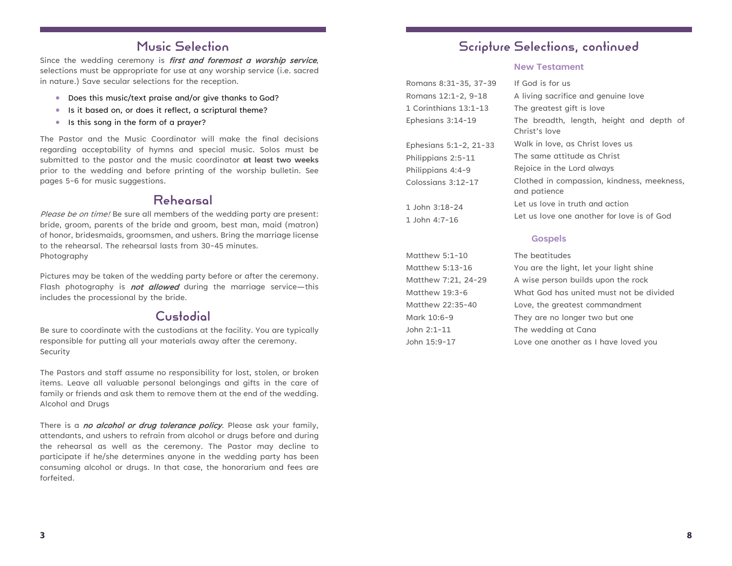### Music Selection

Since the wedding ceremony is *first and foremost a worship service*, selections must be appropriate for use at any worship service (i.e. sacred in nature.) Save secular selections for the reception.

- Does this music/text praise and/or give thanks to God?
- Is it based on, or does it reflect, a scriptural theme?
- Is this song in the form of a prayer?

The Pastor and the Music Coordinator will make the final decisions regarding acceptability of hymns and special music. Solos must be submitted to the pastor and the music coordinator **at least two weeks**  prior to the wedding and before printing of the worship bulletin. See pages 5-6 for music suggestions.

### Rehearsal

Please be on time! Be sure all members of the wedding party are present: bride, groom, parents of the bride and groom, best man, maid (matron) of honor, bridesmaids, groomsmen, and ushers. Bring the marriage license to the rehearsal. The rehearsal lasts from 30-45 minutes. Photography

Pictures may be taken of the wedding party before or after the ceremony. Flash photography is **not allowed** during the marriage service—this includes the processional by the bride.

### Custodial

Be sure to coordinate with the custodians at the facility. You are typically responsible for putting all your materials away after the ceremony. Security

The Pastors and staff assume no responsibility for lost, stolen, or broken items. Leave all valuable personal belongings and gifts in the care of family or friends and ask them to remove them at the end of the wedding. Alcohol and Drugs

There is a **no alcohol or drug tolerance policy**. Please ask your family, attendants, and ushers to refrain from alcohol or drugs before and during the rehearsal as well as the ceremony. The Pastor may decline to participate if he/she determines anyone in the wedding party has been consuming alcohol or drugs. In that case, the honorarium and fees are forfeited.

### Scripture Selections, continued

#### **New Testament**

| Romans 8:31-35, 37-39  | If God is for us                                           |
|------------------------|------------------------------------------------------------|
| Romans 12:1-2, 9-18    | A living sacrifice and genuine love                        |
| 1 Corinthians 13:1-13  | The greatest gift is love                                  |
| Ephesians 3:14-19      | The breadth, length, height and depth of<br>Christ's love  |
| Ephesians 5:1-2, 21-33 | Walk in love, as Christ loves us                           |
| Philippians 2:5-11     | The same attitude as Christ                                |
| Philippians 4:4-9      | Rejoice in the Lord always                                 |
| Colossigns 3:12-17     | Clothed in compassion, kindness, meekness,<br>and patience |
| 1 John 3:18-24         | Let us love in truth and action                            |
| 1 John 4:7-16          | Let us love one another for love is of God                 |

#### **Gospels**

| Matthew 5:1-10      | The beatitudes                          |
|---------------------|-----------------------------------------|
| Matthew 5:13-16     | You are the light, let your light shine |
| Matthew 7:21, 24-29 | A wise person builds upon the rock      |
| Matthew 19:3-6      | What God has united must not be divided |
| Matthew 22:35-40    | Love, the greatest commandment          |
| Mark 10:6-9         | They are no longer two but one          |
| John 2:1-11         | The wedding at Cana                     |
| John 15:9-17        | Love one another as I have loved you    |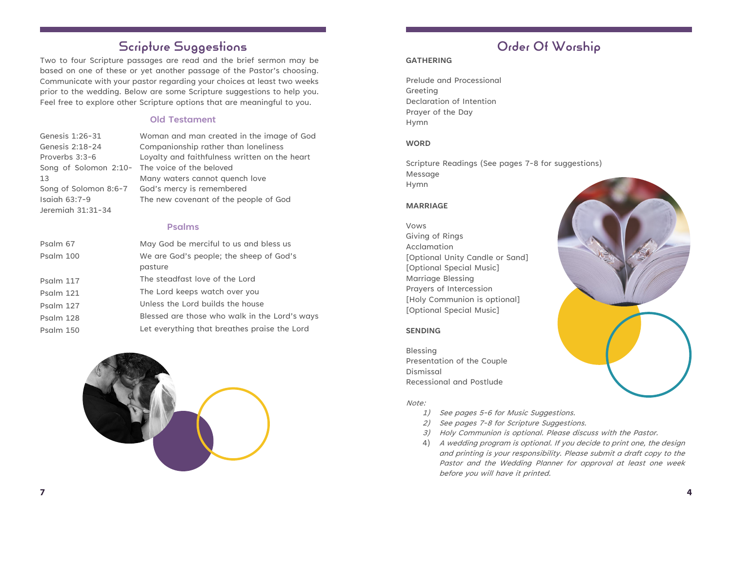# Scripture Suggestions

Two to four Scripture passages are read and the brief sermon may be based on one of these or yet another passage of the Pastor's choosing. Communicate with your pastor regarding your choices at least two weeks prior to the wedding. Below are some Scripture suggestions to help you. Feel free to explore other Scripture options that are meaningful to you.

#### **Old Testament**

| Genesis 1:26-31                                | Woman and man created in the image of God     |
|------------------------------------------------|-----------------------------------------------|
| Genesis 2:18-24                                | Companionship rather than loneliness          |
| Proverbs 3:3-6                                 | Loyalty and faithfulness written on the heart |
| Song of Solomon 2:10- The voice of the beloved |                                               |
| 13                                             | Many waters cannot quench love                |
| Song of Solomon 8:6-7                          | God's mercy is remembered                     |
| Isaiah $63:7-9$                                | The new covenant of the people of God         |
| Jeremiah 31:31-34                              |                                               |

#### **Psalms**

| May God be merciful to us and bless us        |
|-----------------------------------------------|
| We are God's people; the sheep of God's       |
| pasture                                       |
| The steadfast love of the Lord                |
| The Lord keeps watch over you                 |
| Unless the Lord builds the house              |
| Blessed are those who walk in the Lord's ways |
| Let everything that breathes praise the Lord  |
|                                               |



# Order Of Worship

#### **GATHERING**

Prelude and Processional Greeting Declaration of Intention Prayer of the Day Hymn

#### **WORD**

Scripture Readings (See pages 7-8 for suggestions) Message Hymn

#### **MARRIAGE**

Vows Giving of Rings Acclamation [Optional Unity Candle or Sand] [Optional Special Music] Marriage Blessing Prayers of Intercession [Holy Communion is optional] [Optional Special Music]

#### **SENDING**

Blessing Presentation of the Couple Dismissal Recessional and Postlude

#### Note:

- 1) See pages 5-6 for Music Suggestions.
- 2) See pages 7-8 for Scripture Suggestions.
- 3) Holy Communion is optional. Please discuss with the Pastor.
- 4) <sup>A</sup> wedding program is optional. If you decide to print one, the design and printing is your responsibility. Please submit a draft copy to the Pastor and the Wedding Planner for approval at least one week before you will have it printed.